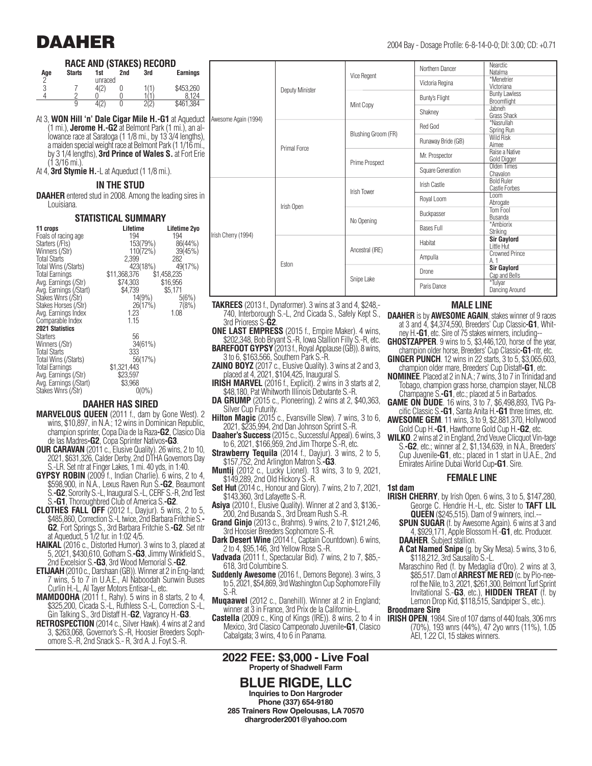## **RACE AND (STAKES) RECORD**

| Age | <b>Starts</b> | 1st     | 2nd | 3rd | <b>Earnings</b> |
|-----|---------------|---------|-----|-----|-----------------|
|     |               | unraced |     |     |                 |
| 3   |               | 1(2)    |     | 1/1 | \$453,260       |
|     |               |         |     |     | 124             |
|     |               | 1/つ     |     |     | \$461.384       |

- At 3, **WON Hill 'n' Dale Cigar Mile H.-G1** at Aqueduct (1 mi.), **Jerome H.-G2** at Belmont Park (1 mi.), an allowance race at Saratoga (1 1/8 mi., by 13 3/4 lengths), a maiden special weight race at Belmont Park (1 1/16 mi., by 3 1/4 lengths), **3rd Prince of Wales S.** at Fort Erie  $(13/16 \text{ mi.})$
- At 4, **3rd Stymie H.**-L at Aqueduct (1 1/8 mi.).

## **IN THE STUD**

**DAAHER** entered stud in 2008. Among the leading sires in Louisiana.

#### **STATISTICAL SUMMARY**

| 11 crops               | Lifetime     | Lifetime 2yo |
|------------------------|--------------|--------------|
| Foals of racing age    | 194          | 194          |
| Starters (/Fls)        | 153(79%)     | 86(44%)      |
| Winners (/Str)         | 110(72%)     | 39(45%)      |
| <b>Total Starts</b>    | 2,399        | 282          |
| Total Wins (/Starts)   | 423(18%)     | 49(17%)      |
| <b>Total Earnings</b>  | \$11,368,376 | \$1,458,235  |
| Avg. Earnings (/Str)   | \$74,303     | \$16,956     |
| Avg. Earnings (/Start) | \$4.739      | \$5,171      |
| Stakes Whrs (/Str)     | 14(9%)       | 5(6%)        |
| Stakes Horses (/Str)   | 26(17%)      | 7(8%)        |
| Avg. Earnings Index    | 1.23         | 1.08         |
| Comparable Index       | 1.15         |              |
|                        |              |              |
| <b>2021 Statistics</b> |              |              |
| <b>Starters</b>        | 56           |              |
| Winners (/Str)         | 34(61%)      |              |
| <b>Total Starts</b>    | 333          |              |
| Total Wins (/Starts)   | 56(17%)      |              |
| <b>Total Earnings</b>  | \$1,321,443  |              |
| Avg. Earnings (/Str)   | \$23,597     |              |
| Avg. Earnings (/Start) | \$3,968      |              |
| Stakes Wnrs (/Str)     | $0(0\%)$     |              |

#### **DAAHER HAS SIRED**

- **MARVELOUS QUEEN** (2011 f., dam by Gone West). 2 wins, \$10,897, in N.A.; 12 wins in Dominican Republic, champion sprinter, Copa Dia de la Raza**-G2**, Clasico Dia de las Madres**-G2**, Copa Sprinter Nativos**-G3**.
- **OUR CARAVAN** (2011 c., Elusive Quality). 26 wins, 2 to 10, 2021, \$631,326, Calder Derby, 2nd DTHA Governors Day S.-LR. Set ntr at Finger Lakes, 1 mi. 40 yds, in 1:40.
- **GYPSY ROBIN** (2009 f., Indian Charlie). 6 wins, 2 to 4, \$598,900, in N.A., Lexus Raven Run S.**-G2**, Beaumont S.**-G2**, Sorority S.-L, Inaugural S.-L, CERF S.-R, 2nd Test S.**-G1**, Thoroughbred Club of America S.**-G2**.
- **CLOTHES FALL OFF** (2012 f., Dayjur). 5 wins, 2 to 5, \$485,860, Correction S.-L twice, 2nd Barbara Fritchie S.**- G2**, Fort Springs S., 3rd Barbara Fritchie S.**-G2**. Set ntr at Aqueduct, 5 1/2 fur. in 1:02 4/5.
- **HAIKAL** (2016 c., Distorted Humor). 3 wins to 3, placed at 5, 2021, \$430,610, Gotham S.**-G3**, Jimmy Winkfield S., 2nd Excelsior S.**-G3**, 3rd Wood Memorial S.**-G2**.
- **ETIJAAH** (2010 c., Darshaan (GB)). Winner at 2 in Eng-land; 7 wins, 5 to 7 in U.A.E., Al Naboodah Sunwin Buses Curlin H.-L, Al Tayer Motors Entisar-L, etc.
- **MAMDOOHA** (2011 f., Rahy). 5 wins in 8 starts, 2 to 4, \$325,200, Cicada S.-L, Ruthless S.-L, Correction S.-L, Gin Talking S., 3rd Distaff H.-**G2**, Vagrancy H.-**G3**.
- **RETROSPECTION** (2014 c., Silver Hawk). 4 wins at 2 and 3, \$263,068, Governor's S.-R, Hoosier Breeders Sophomore S.-R, 2nd Snack S.- R, 3rd A. J. Foyt S.-R.

|                      | Deputy Minister   | Vice Regent           | Northern Dancer     | Nearctic<br>Natalma                        |
|----------------------|-------------------|-----------------------|---------------------|--------------------------------------------|
|                      |                   |                       | Victoria Regina     | *Menetrier<br>Victoriana                   |
|                      |                   | Mint Copy             | Bunty's Flight      | <b>Bunty Lawless</b><br><b>Broomflight</b> |
|                      |                   |                       | Shakney             | Jabneh<br><b>Grass Shack</b>               |
| Awesome Again (1994) | Primal Force      | Blushing Groom (FR)   | Red God             | *Nasrullah<br>Spring Run                   |
|                      |                   |                       | Runaway Bride (GB)  | <b>Wild Risk</b><br>Aimee                  |
|                      |                   | Prime Prospect        | Mr. Prospector      | Raise a Native<br>Gold Digger              |
|                      |                   |                       | Square Generation   | <b>Olden Times</b><br>Chavalon             |
|                      | Irish Open        | <b>Irish Tower</b>    | <b>Irish Castle</b> | <b>Bold Ruler</b><br><b>Castle Forbes</b>  |
|                      |                   |                       | Royal Loom          | Loom<br>Abrogate                           |
|                      |                   |                       | Buckpasser          | Tom Fool<br>Busanda                        |
| No Opening           | <b>Bases Full</b> | *Ambiorix<br>Striking |                     |                                            |
| Irish Cherry (1994)  | Eston             | Ancestral (IRE)       | Habitat             | <b>Sir Gaylord</b><br>Little Hut           |
|                      |                   |                       | Ampulla             | <b>Crowned Prince</b><br>A. 1              |
|                      |                   | Snipe Lake            | Drone               | <b>Sir Gaylord</b><br>Cap and Bells        |
|                      |                   |                       | Paris Dance         | *Tulyar<br>Dancing Around                  |

- **TAKREES** (2013 f., Dynaformer). 3 wins at 3 and 4, \$248,- 740, Interborough S.-L, 2nd Cicada S., Safely Kept S., 3rd Prioress S-**G2**.
- **ONE LAST EMPRESS** (2015 f., Empire Maker). 4 wins, \$202,348, Bob Bryant S.-R, Iowa Stallion Filly S.-R, etc. **BAREFOOT GYPSY** (2013 f., Royal Applause (GB)). 8 wins,
- 3 to 6, \$163,566, Southern Park S.-R. **ZAINO BOYZ** (2017 c., Elusive Quality). 3 wins at 2 and 3,
- placed at 4, 2021, \$104,425, Inaugural S. **IRISH MARVEL** (2016 f., Explicit). 2 wins in 3 starts at 2,
- \$48,180, Pat Whitworth Illinois Debutante S.-R. **DA GRUMP** (2015 c., Pioneering). 2 wins at 2, \$40,363,
- Silver Cup Futurity.
- **Hilton Magic** (2015 c., Evansville Slew). 7 wins, 3 to 6, 2021, \$235,994, 2nd Dan Johnson Sprint S.-R.
- **Daaher's Success** (2015 c., Successful Appeal). 6 wins, 3 to 6, 2021, \$166,959, 2nd Jim Thorpe S.-R, etc.
- **Strawberry Tequila** (2014 f., Dayjur). 3 wins, 2 to 5, \$157,752, 2nd Arlington Matron S.**-G3**.
- **Muntij** (2012 c., Lucky Lionel). 13 wins, 3 to 9, 2021, \$149,289, 2nd Old Hickory S.-R.
- **Set Hut** (2014 c., Honour and Glory). 7 wins, 2 to 7, 2021, \$143,360, 3rd Lafayette S.-R.
- **Asiya** (2010 f., Elusive Quality). Winner at 2 and 3, \$136,- 200, 2nd Busanda S., 3rd Dream Rush S.-R.

**Grand Ginjo** (2013 c., Brahms). 9 wins, 2 to 7, \$121,246, 3rd Hoosier Breeders Sophomore S.-R.

- **Dark Desert Wine** (2014 f., Captain Countdown). 6 wins, 2 to 4, \$95,146, 3rd Yellow Rose S.-R.
- **Vadvada** (2011 f., Spectacular Bid). 7 wins, 2 to 7, \$85,- 618, 3rd Columbine S.
- **Suddenly Awesome** (2016 f., Demons Begone). 3 wins, 3 to 5, 2021, \$54,869, 3rd Washington Cup Sophomore Filly S.-R.
- **Muqaawel** (2012 c., Danehill). Winner at 2 in England; winner at 3 in France, 3rd Prix de la Californie-L.
- **Castella** (2009 c., King of Kings (IRE)). 8 wins, 2 to 4 in Mexico, 3rd Clasico Campeonato Juvenile**-G1**, Clasico Cabalgata; 3 wins, 4 to 6 in Panama.
	- **2022 FEE: \$3,000 Live Foal Property of Shadwell Farm**

**BLUE RIGDE, LLC Inquiries to Don Hargroder Phone (337) 654-9180 285 Trainers Row Opelousas, LA 70570 dhargroder2001@yahoo.com**

#### **MALE LINE**

- **DAAHER** is by **AWESOME AGAIN**, stakes winner of 9 races at 3 and 4, \$4,374,590, Breeders' Cup Classic**-G1**, Whitney H.**-G1**, etc. Sire of 75 stakes winners, including--
- **GHOSTZAPPER**. 9 wins to 5, \$3,446,120, horse of the year, champion older horse, Breeders' Cup Classic**-G1**-ntr, etc.
- **GINGER PUNCH**. 12 wins in 22 starts, 3 to 5, \$3,065,603, champion older mare, Breeders' Cup Distaff**-G1**, etc.
- **NOMINEE**. Placed at 2 in N.A.; 7 wins, 3 to 7 in Trinidad and Tobago, champion grass horse, champion stayer, NLCB Champagne S.**-G1**, etc.; placed at 5 in Barbados.
- **GAME ON DUDE**. 16 wins, 3 to 7, \$6,498,893, TVG Pacific Classic S.**-G1**, Santa Anita H.**-G1** three times, etc.
- **AWESOME GEM**. 11 wins, 3 to 9, \$2,881,370, Hollywood Gold Cup H.**-G1**, Hawthorne Gold Cup H.**-G2**, etc.
- **WILKO**. 2 wins at 2 in England, 2nd Veuve Clicquot Vin-tage S.**-G2**, etc.; winner at 2, \$1,134,639, in N.A., Breeders' Cup Juvenile**-G1**, etc.; placed in 1 start in U.A.E., 2nd Emirates Airline Dubai World Cup**-G1**. Sire.

#### **FEMALE LINE**

- **1st dam IRISH CHERRY**, by Irish Open. 6 wins, 3 to 5, \$147,280, George C. Hendrie H.-L, etc. Sister to **TAFT LIL QUEEN** (\$245,515). Dam of 9 winners, incl.--
	- **SPUN SUGAR** (f. by Awesome Again). 6 wins at 3 and 4, \$929,171, Apple Blossom H.-**G1**, etc. Producer. **DAAHER**. Subject stallion.

- **A Cat Named Snipe** (g. by Sky Mesa). 5 wins, 3 to 6, \$118,212, 3rd Sausalito S.-L.
- Maraschino Red (f. by Medaglia d'Oro). 2 wins at 3, \$85,517. Dam of **ARREST ME RED** (c. by Pio-neerof the Nile, to 3, 2021, \$261,300, Belmont Turf Sprint Invitational S.-**G3**, etc.), **HIDDEN TREAT** (f. by Lemon Drop Kid, \$118,515, Sandpiper S., etc.).

## **Broodmare Sire**

**IRISH OPEN**, 1984. Sire of 107 dams of 440 foals, 306 rnrs (70%), 193 wnrs (44%), 47 2yo wnrs (11%), 1.05 AEI, 1.22 CI, 15 stakes winners.